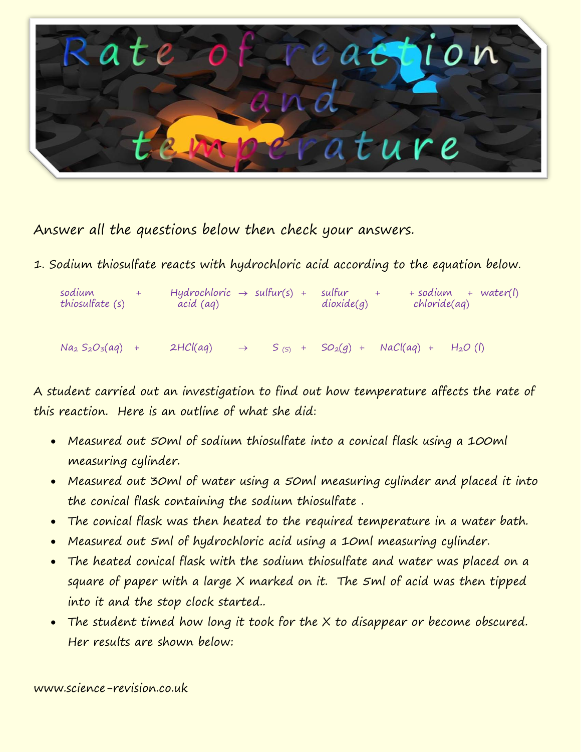

Answer all the questions below then check your answers.

1. Sodium thiosulfate reacts with hydrochloric acid according to the equation below.

| sodium<br>thiosulfate (s) | Hydrochloric $\rightarrow$ sulfur(s) +<br>acid (ag) |               |  |  | sulfur<br>dioxide(q)    | + sodium<br>$+ water(l)$<br>chloride(aq) |  |            |  |
|---------------------------|-----------------------------------------------------|---------------|--|--|-------------------------|------------------------------------------|--|------------|--|
| $Na_2 S_2 O_3(aq) +$      | 2HCl(aq)                                            | $\rightarrow$ |  |  | $S_{(S)}$ + $SO_2(q)$ + | $NaCl(aq) +$                             |  | $H_2O$ (1) |  |

A student carried out an investigation to find out how temperature affects the rate of this reaction. Here is an outline of what she did:

- Measured out 50ml of sodium thiosulfate into a conical flask using a 100ml measuring cylinder.
- Measured out 30ml of water using a 50ml measuring cylinder and placed it into the conical flask containing the sodium thiosulfate .
- The conical flask was then heated to the required temperature in a water bath.
- Measured out 5ml of hydrochloric acid using a 10ml measuring cylinder.
- The heated conical flask with the sodium thiosulfate and water was placed on a square of paper with a large X marked on it. The 5ml of acid was then tipped into it and the stop clock started..
- The student timed how long it took for the X to disappear or become obscured. Her results are shown below:

www.science-revision.co.uk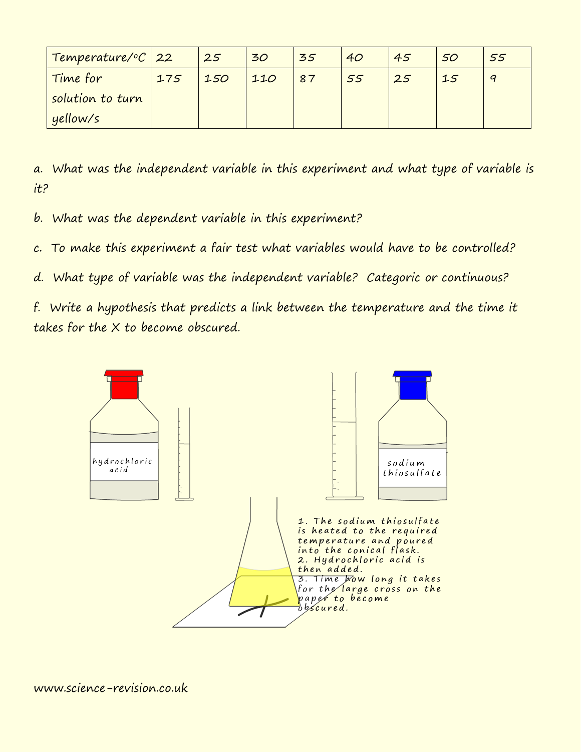| Temperature/°C 22 |     | 25  | 30  | 35 | 40 | 45 | 50 | 55 |
|-------------------|-----|-----|-----|----|----|----|----|----|
| Time for          | 175 | 150 | 110 | 87 | 55 | 25 | 15 |    |
| solution to turn  |     |     |     |    |    |    |    |    |
| yellow/s          |     |     |     |    |    |    |    |    |

a. What was the independent variable in this experiment and what type of variable is it?

b. What was the dependent variable in this experiment?

c. To make this experiment a fair test what variables would have to be controlled?

d. What type of variable was the independent variable? Categoric or continuous?

f. Write a hypothesis that predicts a link between the temperature and the time it takes for the X to become obscured.

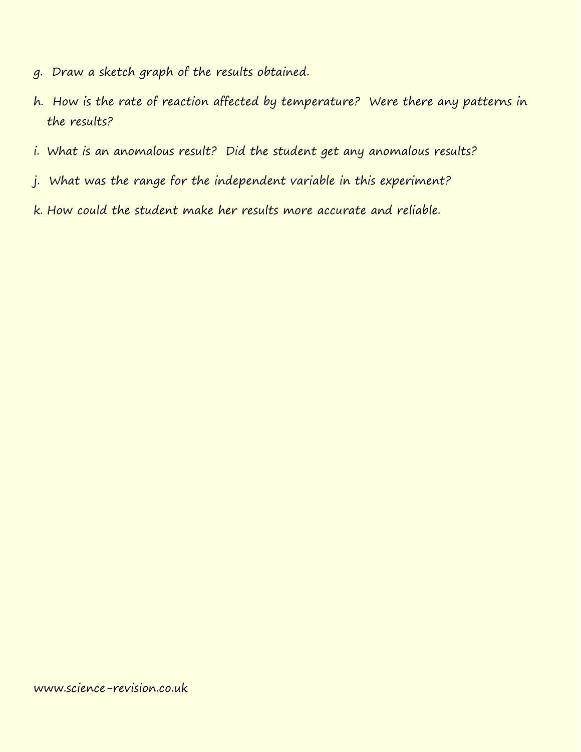- g. Draw a sketch graph of the results obtained.
- h. How is the rate of reaction affected by temperature? Were there any patterns in the results?
- i. What is an anomalous result? Did the student get any anomalous results?
- j. What was the range for the independent variable in this experiment?
- k. How could the student make her results more accurate and reliable.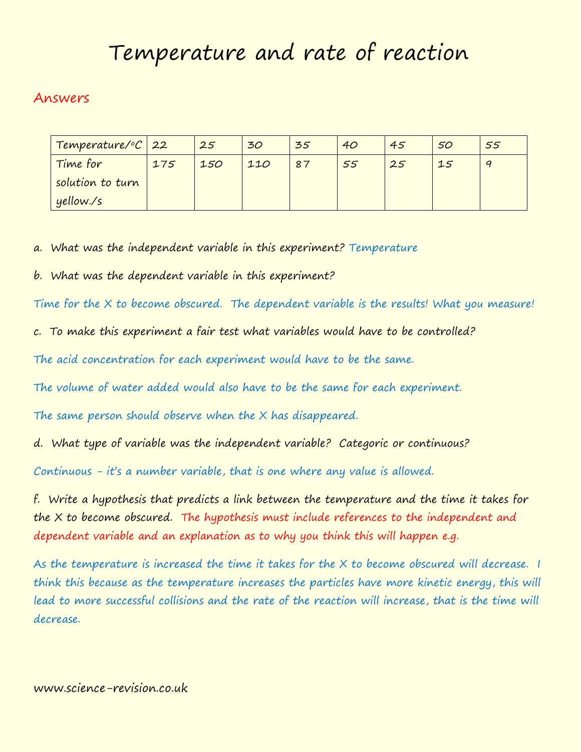# Temperature and rate of reaction

# Answers

| Temperature/°C 22 |     | 25  | 30  | 35 | 40 | 45 | 50 | 55 |
|-------------------|-----|-----|-----|----|----|----|----|----|
| Time for          | 175 | 150 | 110 | 87 | 55 | 25 | 15 |    |
| solution to turn  |     |     |     |    |    |    |    |    |
| yellow./s         |     |     |     |    |    |    |    |    |

a. What was the independent variable in this experiment? Temperature

b. What was the dependent variable in this experiment?

Time for the X to become obscured. The dependent variable is the results! What you measure!

c. To make this experiment a fair test what variables would have to be controlled?

The acid concentration for each experiment would have to be the same.

The volume of water added would also have to be the same for each experiment.

The same person should observe when the X has disappeared.

d. What type of variable was the independent variable? Categoric or continuous?

Continuous - it's a number variable, that is one where any value is allowed.

f. Write a hypothesis that predicts a link between the temperature and the time it takes for the X to become obscured. The hypothesis must include references to the independent and dependent variable and an explanation as to why you think this will happen e.g.

As the temperature is increased the time it takes for the X to become obscured will decrease. I think this because as the temperature increases the particles have more kinetic energy, this will lead to more successful collisions and the rate of the reaction will increase, that is the time will decrease.

## www.science-revision.co.uk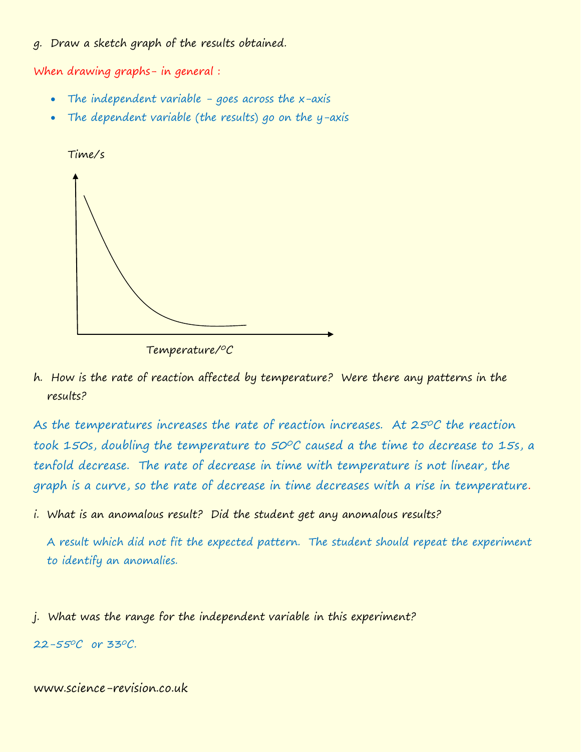### g. Draw a sketch graph of the results obtained.

When drawing graphs- in general :

- The independent variable goes across the  $x$ -axis
- The dependent variable (the results) go on the y-axis



Temperature/<sup>0</sup>C

h. How is the rate of reaction affected by temperature? Were there any patterns in the results?

As the temperatures increases the rate of reaction increases. At 25°C the reaction took 150s, doubling the temperature to 50°C caused a the time to decrease to 15s, a tenfold decrease. The rate of decrease in time with temperature is not linear, the graph is a curve, so the rate of decrease in time decreases with a rise in temperature.

i. What is an anomalous result? Did the student get any anomalous results?

A result which did not fit the expected pattern. The student should repeat the experiment to identify an anomalies.

j. What was the range for the independent variable in this experiment?

 $22 - 55^{\circ}C$  or 33 $^{\circ}C$ .

### www.science-revision.co.uk